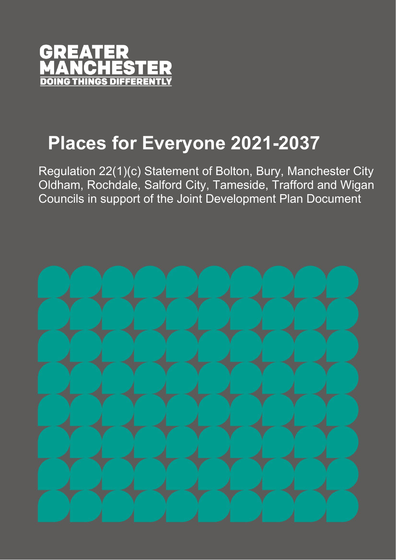

# **Places for Everyone 2021-2037**

Regulation 22(1)(c) Statement of Bolton, Bury, Manchester City Oldham, Rochdale, Salford City, Tameside, Trafford and Wigan Councils in support of the Joint Development Plan Document

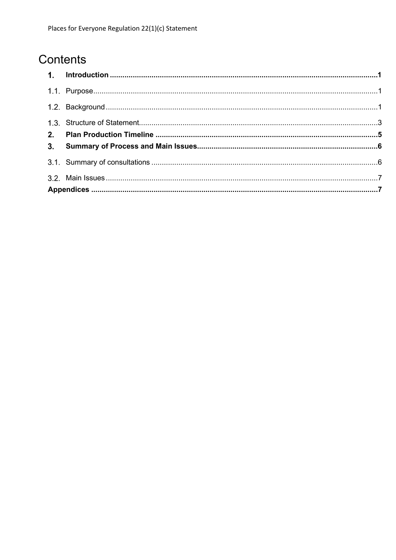## Contents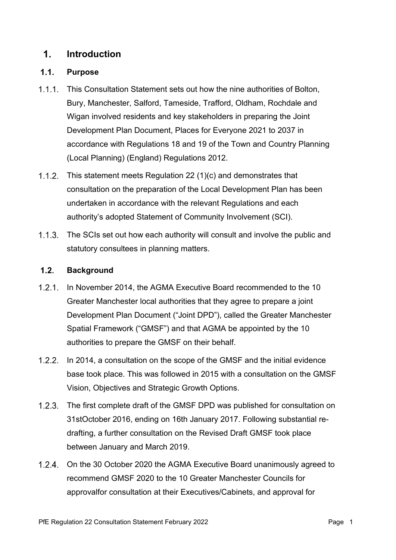#### <span id="page-2-0"></span> $1<sup>1</sup>$ **Introduction**

#### <span id="page-2-1"></span> $1.1.$ **Purpose**

- $1.1.1.$ This Consultation Statement sets out how the nine authorities of Bolton, Bury, Manchester, Salford, Tameside, Trafford, Oldham, Rochdale and Wigan involved residents and key stakeholders in preparing the Joint Development Plan Document, Places for Everyone 2021 to 2037 in accordance with Regulations 18 and 19 of the Town and Country Planning (Local Planning) (England) Regulations 2012.
- 1.1.2. This statement meets Regulation 22  $(1)(c)$  and demonstrates that consultation on the preparation of the Local Development Plan has been undertaken in accordance with the relevant Regulations and each authority's adopted Statement of Community Involvement (SCI).
- 1.1.3. The SCIs set out how each authority will consult and involve the public and statutory consultees in planning matters.

#### <span id="page-2-2"></span> $1.2.$ **Background**

- 1.2.1. In November 2014, the AGMA Executive Board recommended to the 10 Greater Manchester local authorities that they agree to prepare a joint Development Plan Document ("Joint DPD"), called the Greater Manchester Spatial Framework ("GMSF") and that AGMA be appointed by the 10 authorities to prepare the GMSF on their behalf.
- 1.2.2. In 2014, a consultation on the scope of the GMSF and the initial evidence base took place. This was followed in 2015 with a consultation on the GMSF Vision, Objectives and Strategic Growth Options.
- 1.2.3. The first complete draft of the GMSF DPD was published for consultation on 31stOctober 2016, ending on 16th January 2017. Following substantial redrafting, a further consultation on the Revised Draft GMSF took place between January and March 2019.
- 1.2.4. On the 30 October 2020 the AGMA Executive Board unanimously agreed to recommend GMSF 2020 to the 10 Greater Manchester Councils for approvalfor consultation at their Executives/Cabinets, and approval for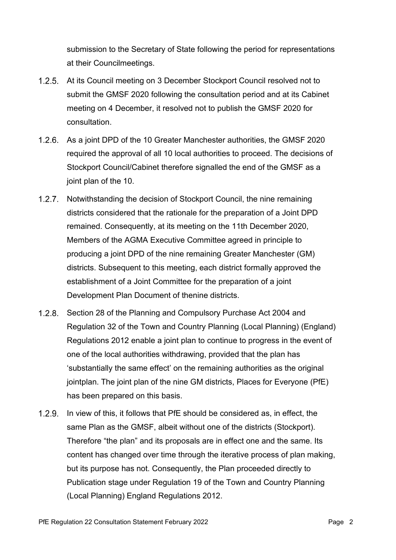submission to the Secretary of State following the period for representations at their Councilmeetings.

- At its Council meeting on 3 December Stockport Council resolved not to submit the GMSF 2020 following the consultation period and at its Cabinet meeting on 4 December, it resolved not to publish the GMSF 2020 for consultation.
- 1.2.6. As a joint DPD of the 10 Greater Manchester authorities, the GMSF 2020 required the approval of all 10 local authorities to proceed. The decisions of Stockport Council/Cabinet therefore signalled the end of the GMSF as a joint plan of the 10.
- 1.2.7. Notwithstanding the decision of Stockport Council, the nine remaining districts considered that the rationale for the preparation of a Joint DPD remained. Consequently, at its meeting on the 11th December 2020, Members of the AGMA Executive Committee agreed in principle to producing a joint DPD of the nine remaining Greater Manchester (GM) districts. Subsequent to this meeting, each district formally approved the establishment of a Joint Committee for the preparation of a joint Development Plan Document of thenine districts.
- $1.2.8.$ Section 28 of the Planning and Compulsory Purchase Act 2004 and Regulation 32 of the Town and Country Planning (Local Planning) (England) Regulations 2012 enable a joint plan to continue to progress in the event of one of the local authorities withdrawing, provided that the plan has 'substantially the same effect' on the remaining authorities as the original jointplan. The joint plan of the nine GM districts, Places for Everyone (PfE) has been prepared on this basis.
- 1.2.9. In view of this, it follows that PfE should be considered as, in effect, the same Plan as the GMSF, albeit without one of the districts (Stockport). Therefore "the plan" and its proposals are in effect one and the same. Its content has changed over time through the iterative process of plan making, but its purpose has not. Consequently, the Plan proceeded directly to Publication stage under Regulation 19 of the Town and Country Planning (Local Planning) England Regulations 2012.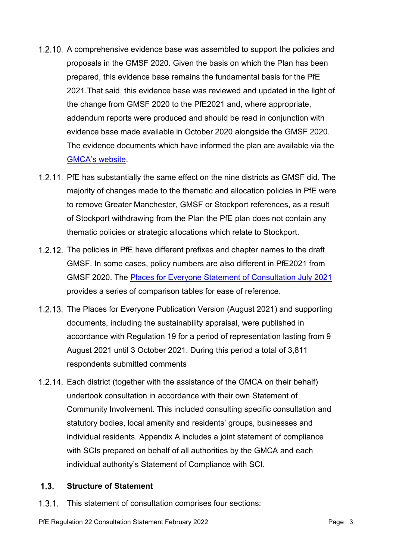- 1.2.10. A comprehensive evidence base was assembled to support the policies and proposals in the GMSF 2020. Given the basis on which the Plan has been prepared, this evidence base remains the fundamental basis for the PfE 2021.That said, this evidence base was reviewed and updated in the light of the change from GMSF 2020 to the PfE2021 and, where appropriate, addendum reports were produced and should be read in conjunction with evidence base made available in October 2020 alongside the GMSF 2020. The evidence documents which have informed the plan are available via the [GMCA's](https://www.greatermanchester-ca.gov.uk/what-we-do/planning-and-housing/places-for-everyone/) website.
- 1.2.11. PfE has substantially the same effect on the nine districts as GMSF did. The majority of changes made to the thematic and allocation policies in PfE were to remove Greater Manchester, GMSF or Stockport references, as a result of Stockport withdrawing from the Plan the PfE plan does not contain any thematic policies or strategic allocations which relate to Stockport.
- 1.2.12. The policies in PfE have different prefixes and chapter names to the draft GMSF. In some cases, policy numbers are also different in PfE2021 from GMSF 2020. The [Places for Everyone Statement of Consultation July 2021](https://www.greatermanchester-ca.gov.uk/what-we-do/planning-and-housing/places-for-everyone/supporting-documents/?folder=%5C03%20Plan%20wide#fList) provides a series of comparison tables for ease of reference.
- 1.2.13. The Places for Everyone Publication Version (August 2021) and supporting documents, including the sustainability appraisal, were published in accordance with Regulation 19 for a period of representation lasting from 9 August 2021 until 3 October 2021. During this period a total of 3,811 respondents submitted comments
- 1.2.14. Each district (together with the assistance of the GMCA on their behalf) undertook consultation in accordance with their own Statement of Community Involvement. This included consulting specific consultation and statutory bodies, local amenity and residents' groups, businesses and individual residents. Appendix A includes a joint statement of compliance with SCIs prepared on behalf of all authorities by the GMCA and each individual authority's Statement of Compliance with SCI.

#### <span id="page-4-0"></span> $1.3.$ **Structure of Statement**

1.3.1. This statement of consultation comprises four sections: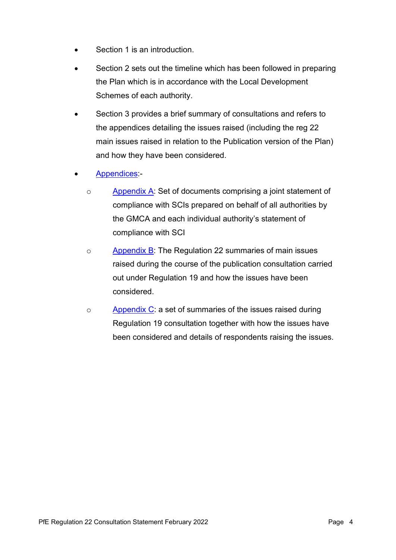- Section 1 is an introduction
- Section 2 sets out the timeline which has been followed in preparing the Plan which is in accordance with the Local Development Schemes of each authority.
- Section 3 provides a brief summary of consultations and refers to the appendices detailing the issues raised (including the reg 22 main issues raised in relation to the Publication version of the Plan) and how they have been considered.
- [Appendices:](https://eur03.safelinks.protection.outlook.com/?url=https%3A%2F%2Fwww.greatermanchester-ca.gov.uk%2Fwhat-we-do%2Fplanning-and-housing%2Fplaces-for-everyone%2Fsubmission-documents&data=04%7C01%7Ckaren.findley%40manchester.gov.uk%7Cb7c2ed158d4f4407e12b08d9ea48e8f7%7Cb0ce7d5e81cd47fb94f7276c626b7b09%7C0%7C1%7C637798421138149198%7CUnknown%7CTWFpbGZsb3d8eyJWIjoiMC4wLjAwMDAiLCJQIjoiV2luMzIiLCJBTiI6Ik1haWwiLCJXVCI6Mn0%3D%7C3000&sdata=4pnr72q1EUKy3ZzrFQ8HwnEwUxzjwqkQ9E%2BO1o6X8M4%3D&reserved=0)
	- o [Appendix A:](https://eur03.safelinks.protection.outlook.com/?url=https%3A%2F%2Fwww.greatermanchester-ca.gov.uk%2Fwhat-we-do%2Fplanning-and-housing%2Fplaces-for-everyone%2Fsubmission-documents&data=04%7C01%7Ckaren.findley%40manchester.gov.uk%7Cb7c2ed158d4f4407e12b08d9ea48e8f7%7Cb0ce7d5e81cd47fb94f7276c626b7b09%7C0%7C1%7C637798421138149198%7CUnknown%7CTWFpbGZsb3d8eyJWIjoiMC4wLjAwMDAiLCJQIjoiV2luMzIiLCJBTiI6Ik1haWwiLCJXVCI6Mn0%3D%7C3000&sdata=4pnr72q1EUKy3ZzrFQ8HwnEwUxzjwqkQ9E%2BO1o6X8M4%3D&reserved=0) Set of documents comprising a joint statement of compliance with SCIs prepared on behalf of all authorities by the GMCA and each individual authority's statement of compliance with SCI
	- o [Appendix B:](https://eur03.safelinks.protection.outlook.com/?url=https%3A%2F%2Fwww.greatermanchester-ca.gov.uk%2Fwhat-we-do%2Fplanning-and-housing%2Fplaces-for-everyone%2Fsubmission-documents&data=04%7C01%7Ckaren.findley%40manchester.gov.uk%7Cb7c2ed158d4f4407e12b08d9ea48e8f7%7Cb0ce7d5e81cd47fb94f7276c626b7b09%7C0%7C1%7C637798421138149198%7CUnknown%7CTWFpbGZsb3d8eyJWIjoiMC4wLjAwMDAiLCJQIjoiV2luMzIiLCJBTiI6Ik1haWwiLCJXVCI6Mn0%3D%7C3000&sdata=4pnr72q1EUKy3ZzrFQ8HwnEwUxzjwqkQ9E%2BO1o6X8M4%3D&reserved=0) The Regulation 22 summaries of main issues raised during the course of the publication consultation carried out under Regulation 19 and how the issues have been considered.
	- o [Appendix C:](https://eur03.safelinks.protection.outlook.com/?url=https%3A%2F%2Fwww.greatermanchester-ca.gov.uk%2Fwhat-we-do%2Fplanning-and-housing%2Fplaces-for-everyone%2Fsubmission-documents&data=04%7C01%7Ckaren.findley%40manchester.gov.uk%7Cb7c2ed158d4f4407e12b08d9ea48e8f7%7Cb0ce7d5e81cd47fb94f7276c626b7b09%7C0%7C1%7C637798421138149198%7CUnknown%7CTWFpbGZsb3d8eyJWIjoiMC4wLjAwMDAiLCJQIjoiV2luMzIiLCJBTiI6Ik1haWwiLCJXVCI6Mn0%3D%7C3000&sdata=4pnr72q1EUKy3ZzrFQ8HwnEwUxzjwqkQ9E%2BO1o6X8M4%3D&reserved=0) a set of summaries of the issues raised during Regulation 19 consultation together with how the issues have been considered and details of respondents raising the issues.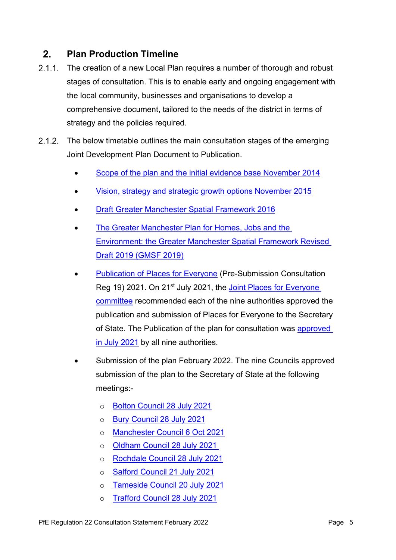#### <span id="page-6-0"></span> $2<sub>1</sub>$ **Plan Production Timeline**

- $2.1.1.$ The creation of a new Local Plan requires a number of thorough and robust stages of consultation. This is to enable early and ongoing engagement with the local community, businesses and organisations to develop a comprehensive document, tailored to the needs of the district in terms of strategy and the policies required.
- 2.1.2. The below timetable outlines the main consultation stages of the emerging Joint Development Plan Document to Publication.
	- [Scope of the plan and the initial evidence base](https://www.greatermanchester-ca.gov.uk/media/5608/gmsf-2014.pdf) November 2014
	- Vision, strategy and strategic [growth options November 2015](https://www.greatermanchester-ca.gov.uk/media/5610/gmsf-2015.pdf)
	- **[Draft Greater Manchester Spatial Framework 2016](https://www.greatermanchester-ca.gov.uk/media/1181/draft_greater_manchester_spatial_framework_web.pdf)**
	- The Greater Manchester Plan for Homes, Jobs and the [Environment: the Greater Manchester Spatial](https://www.greatermanchester-ca.gov.uk/media/1710/gm_plan_for_homes_jobs_and_the_environment_1101-web.pdf) Framework Revised Draft 2019 [\(GMSF](https://www.greatermanchester-ca.gov.uk/media/1710/gm_plan_for_homes_jobs_and_the_environment_1101-web.pdf) 2019)
	- [Publication of Places for Everyone](https://www.greatermanchester-ca.gov.uk/media/4838/places-for-everyone.pdf) (Pre-Submission Consultation Reg 19) 2021. On 21<sup>st</sup> July 2021, the Joint Places for Everyone [committee](https://democracy.greatermanchester-ca.gov.uk/ieListDocuments.aspx?CId=412&MId=4578&Ver=4) recommended each of the nine authorities approved the publication and submission of Places for Everyone to the Secretary of State. The Publication of the plan for consultation was approved [in July 2021](https://eur03.safelinks.protection.outlook.com/?url=https%3A%2F%2Fwww.greatermanchester-ca.gov.uk%2Fwhat-we-do%2Fplanning-and-housing%2Fplaces-for-everyone%2Fthe-plan%2Fdistrict-governance-meetings%2F&data=04%7C01%7Ckaren.findley%40manchester.gov.uk%7C6a38e889ed054684b91608d9ea5f901a%7Cb0ce7d5e81cd47fb94f7276c626b7b09%7C0%7C0%7C637798518431777848%7CUnknown%7CTWFpbGZsb3d8eyJWIjoiMC4wLjAwMDAiLCJQIjoiV2luMzIiLCJBTiI6Ik1haWwiLCJXVCI6Mn0%3D%7C3000&sdata=eicaG7Ru44jFgvPe475jWfBD9GR9sZMBphpK33kFvV4%3D&reserved=0) by all nine authorities.
	- Submission of the plan February 2022. The nine Councils approved submission of the plan to the Secretary of State at the following meetings:
		- o Bolton Council [28 July 2021](https://www.democracy.bolton.gov.uk/cmis5/Meetings/tabid/73/ctl/ViewMeetingPublic/mid/410/Meeting/14635/Committee/3187/Default.aspx)
		- o Bury Council [28 July 2021](https://councildecisions.bury.gov.uk/ieListDocuments.aspx?CId=148&MId=3018&Ver=4)
		- o [Manchester Council 6 Oct 2021](https://democracy.manchester.gov.uk/ieListDocuments.aspx?CId=135&MId=3697&Ver=4)
		- o Oldham Council [28 July 2021](https://committees.oldham.gov.uk/ieListDocuments.aspx?CId=132&MId=8424)
		- o Rochdale Council [28 July 2021](https://eur03.safelinks.protection.outlook.com/?url=http%3A%2F%2Fdemocracy.rochdale.gov.uk%2FieListDocuments.aspx%3FCId%3D156%26MId%3D5684&data=04%7C01%7Ckaren.findley%40manchester.gov.uk%7C360dacb61c334707018908d9eae42cf5%7Cb0ce7d5e81cd47fb94f7276c626b7b09%7C0%7C0%7C637799087990035317%7CUnknown%7CTWFpbGZsb3d8eyJWIjoiMC4wLjAwMDAiLCJQIjoiV2luMzIiLCJBTiI6Ik1haWwiLCJXVCI6Mn0%3D%7C3000&sdata=6BpU31EeaI6J8jqfxNkYmGhlPM6O0I%2BCS1Jt35SvT4g%3D&reserved=0)
		- o [Salford Council](https://sccdemocracy.salford.gov.uk/ieListDocuments.aspx?CId=134&MId=4607&Ver=4) 21 July 2021
		- o Tameside Council [20 July 2021](https://eur03.safelinks.protection.outlook.com/?url=https%3A%2F%2Ftameside.moderngov.co.uk%2FieListDocuments.aspx%3FCId%3D160%26MId%3D5272%26Ver%3D4&data=04%7C01%7Ckaren.findley%40manchester.gov.uk%7C85fd86677c0047a94e6d08d9eae4fce4%7Cb0ce7d5e81cd47fb94f7276c626b7b09%7C0%7C0%7C637799091484321194%7CUnknown%7CTWFpbGZsb3d8eyJWIjoiMC4wLjAwMDAiLCJQIjoiV2luMzIiLCJBTiI6Ik1haWwiLCJXVCI6Mn0%3D%7C3000&sdata=7aksVHumQrIENL3adBAGZzXa3TSXJwFcp8LBz3tzL28%3D&reserved=0)
		- o Trafford Council [28 July 2021](https://democratic.trafford.gov.uk/ieListDocuments.aspx?CId=122&MID=3410#AI36704)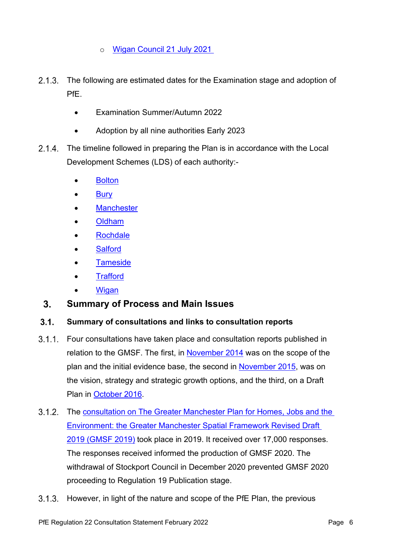o [Wigan Council](https://eur03.safelinks.protection.outlook.com/?url=https%3A%2F%2Fdemocracy.wigan.gov.uk%2FieListDocuments.aspx%3FCId%3D319%26MId%3D4791%26Ver%3D4%26a%3D1&data=04%7C01%7Ckaren.findley%40manchester.gov.uk%7C78599c836da948d493e908d9ea6d6cea%7Cb0ce7d5e81cd47fb94f7276c626b7b09%7C0%7C0%7C637798577978579660%7CUnknown%7CTWFpbGZsb3d8eyJWIjoiMC4wLjAwMDAiLCJQIjoiV2luMzIiLCJBTiI6Ik1haWwiLCJXVCI6Mn0%3D%7C3000&sdata=7tKpIygcB4EY6BOok1mz%2FDYOL3BCV7OL4uKSjaUr%2Fqs%3D&reserved=0) 21 July 2021

- $2.1.3.$ The following are estimated dates for the Examination stage and adoption of PfE.
	- Examination Summer/Autumn 2022
	- Adoption by all nine authorities Early 2023
- $2.1.4.$ The timeline followed in preparing the Plan is in accordance with the Local Development Schemes (LDS) of each authority:-
	- **[Bolton](https://www.bolton.gov.uk/planning-policy-strategy/planning-policy-supporting-information)**
	- **[Bury](https://www.bury.gov.uk/index.aspx?articleid=10737)**
	- **[Manchester](https://secure.manchester.gov.uk/info/200074/planning/1804/local_development_scheme)**
	- [Oldham](https://www.oldham.gov.uk/info/200709/documents_in_the_local_plan/230/local_development_scheme)
	- [Rochdale](http://www.rochdale.gov.uk/planning-and-building/local-planning-policy/Pages/local-development-scheme.aspx)
	- **[Salford](https://www.salford.gov.uk/planning-building-and-regeneration/planning-policies/research-and-monitoring/monitoring/local-development-scheme-monitoring/)**
	- **[Tameside](https://www.tameside.gov.uk/strategicplanning/localdevelopmentscheme)**
	- **[Trafford](https://www.trafford.gov.uk/planning/strategic-planning/Other-Supporting-Documents/local-development-scheme.aspx)**
	- **[Wigan](https://www.wigan.gov.uk/Council/Strategies-Plans-and-Policies/Planning/Local-plan/Background/LocalDevelopmentScheme.aspx)**

#### <span id="page-7-0"></span> $3<sub>1</sub>$ **Summary of Process and Main Issues**

#### <span id="page-7-1"></span> $3.1.$ **Summary of consultations and links to consultation reports**

- $3.1.1$ . Four consultations have taken place and consultation reports published in relation to the GMSF. The first, in [November 2014](https://www.greatermanchester-ca.gov.uk/media/5609/gmsf-2014-consultation-report.pdf) was on the scope of the plan and the initial evidence base, the second in [November 2015,](https://www.greatermanchester-ca.gov.uk/media/5615/gmsf-2015-consultation-summary.pdf) was on the vision, strategy and strategic growth options, and the third, on a Draft Plan in [October 2016.](https://www.greatermanchester-ca.gov.uk/media/1181/draft_greater_manchester_spatial_framework_web.pdf)
- $3.1.2.$ The consultation on The Greater Manchester Plan [for Homes, Jobs and the](https://www.greatermanchester-ca.gov.uk/what-we-do/planning-and-housing/places-for-everyone/supporting-documents/?folder=%5C03%20Plan%20wide#fList)  [Environment: the Greater Manchester Spatial](https://www.greatermanchester-ca.gov.uk/what-we-do/planning-and-housing/places-for-everyone/supporting-documents/?folder=%5C03%20Plan%20wide#fList) Framework Revised Draft 2019 [\(GMSF](https://www.greatermanchester-ca.gov.uk/what-we-do/planning-and-housing/places-for-everyone/supporting-documents/?folder=%5C03%20Plan%20wide#fList) 2019) took place in 2019. It received over 17,000 responses. The responses received informed the production of GMSF 2020. The withdrawal of Stockport Council in December 2020 prevented GMSF 2020 proceeding to Regulation 19 Publication stage.
- However, in light of the nature and scope of the PfE Plan, the previous  $3.1.3.$